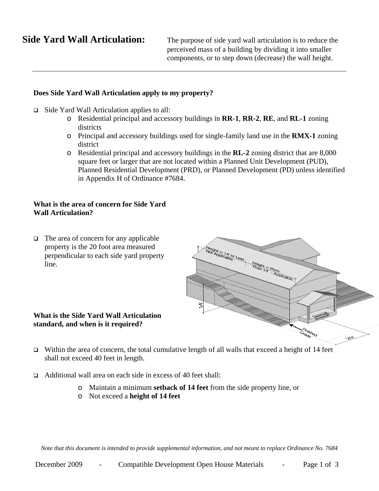**Side Yard Wall Articulation:** The purpose of side yard wall articulation is to reduce the perceived mass of a building by dividing it into smaller components, or to step down (decrease) the wall height.

# **Does Side Yard Wall Articulation apply to my property?**

- $\Box$  Side Yard Wall Articulation applies to all:
	- o Residential principal and accessory buildings in **RR-1**, **RR-2**, **RE**, and **RL-1** zoning districts
	- o Principal and accessory buildings used for single-family land use in the **RMX-1** zoning district
	- o Residential principal and accessory buildings in the **RL-2** zoning district that are 8,000 square feet or larger that are not located within a Planned Unit Development (PUD), Planned Residential Development (PRD), or Planned Development (PD) unless identified in Appendix H of Ordinance #7684.

# **What is the area of concern for Side Yard Wall Articulation?**

 $\Box$  The area of concern for any applicable property is the 20 foot area measured perpendicular to each side yard property line.

### **What is the Side Yard Wall Articulation standard, and when is it required?**

- Height = 14' or Less Height = More র Finished<br>arade  $\rightarrow$
- $\Box$  Within the area of concern, the total cumulative length of all walls that exceed a height of 14 feet shall not exceed 40 feet in length.
- □ Additional wall area on each side in excess of 40 feet shall:
	- o Maintain a minimum **setback of 14 feet** from the side property line, or
	- o Not exceed a **height of 14 feet**

*Note that this document is intended to provide supplemental information, and not meant to replace Ordinance No. 7684*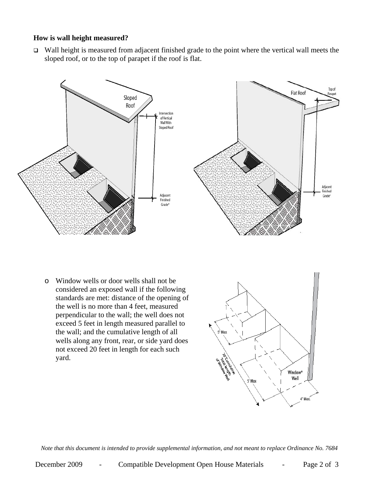## **How is wall height measured?**

 $\Box$  Wall height is measured from adjacent finished grade to the point where the vertical wall meets the sloped roof, or to the top of parapet if the roof is flat.



o Window wells or door wells shall not be considered an exposed wall if the following standards are met: distance of the opening of the well is no more than 4 feet, measured perpendicular to the wall; the well does not exceed 5 feet in length measured parallel to the wall; and the cumulative length of all wells along any front, rear, or side yard does not exceed 20 feet in length for each such yard.



*Note that this document is intended to provide supplemental information, and not meant to replace Ordinance No. 7684*